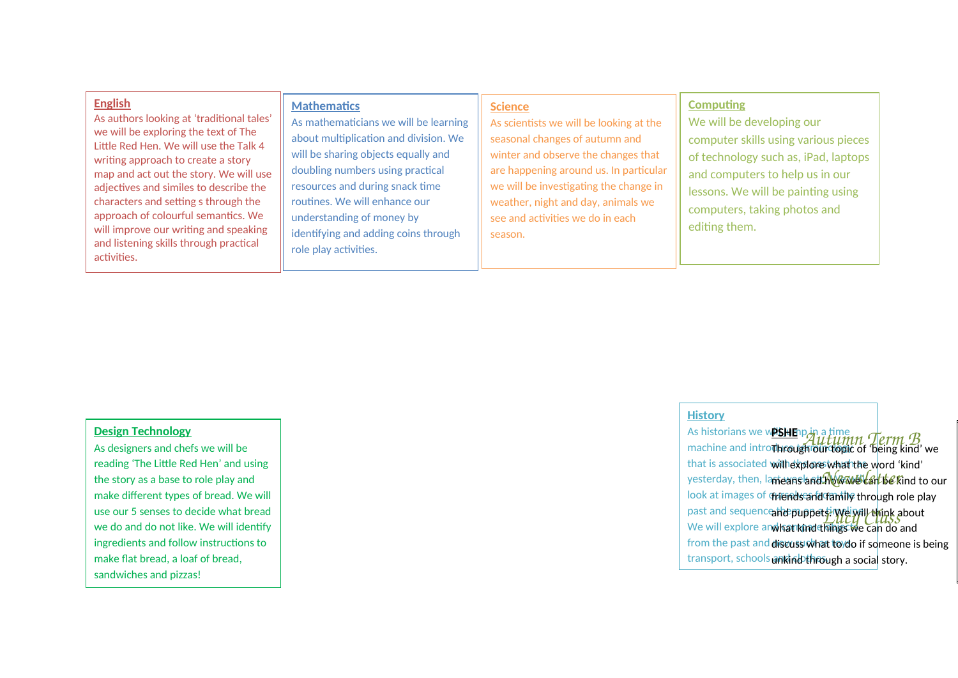| <b>English</b><br>As authors looking at 'traditional tales'<br>we will be exploring the text of The<br>Little Red Hen. We will use the Talk 4<br>writing approach to create a story<br>map and act out the story. We will use<br>adjectives and similes to describe the<br>characters and setting s through the<br>approach of colourful semantics. We<br>will improve our writing and speaking<br>and listening skills through practical<br>activities. | <b>Mathematics</b><br>As mathematicians we will be learning<br>about multiplication and division. We<br>will be sharing objects equally and<br>doubling numbers using practical<br>resources and during snack time<br>routines. We will enhance our<br>understanding of money by<br>identifying and adding coins through<br>role play activities. | <b>Science</b><br>As scientists we will be looking at the<br>seasonal changes of autumn and<br>winter and observe the changes that<br>are happening around us. In particular<br>we will be investigating the change in<br>weather, night and day, animals we<br>see and activities we do in each<br>season. | <b>Computing</b><br>We will be developing our<br>computer skills using various pieces<br>of technology such as, iPad, laptops<br>and computers to help us in our<br>lessons. We will be painting using<br>computers, taking photos and<br>editing them. |
|----------------------------------------------------------------------------------------------------------------------------------------------------------------------------------------------------------------------------------------------------------------------------------------------------------------------------------------------------------------------------------------------------------------------------------------------------------|---------------------------------------------------------------------------------------------------------------------------------------------------------------------------------------------------------------------------------------------------------------------------------------------------------------------------------------------------|-------------------------------------------------------------------------------------------------------------------------------------------------------------------------------------------------------------------------------------------------------------------------------------------------------------|---------------------------------------------------------------------------------------------------------------------------------------------------------------------------------------------------------------------------------------------------------|
|----------------------------------------------------------------------------------------------------------------------------------------------------------------------------------------------------------------------------------------------------------------------------------------------------------------------------------------------------------------------------------------------------------------------------------------------------------|---------------------------------------------------------------------------------------------------------------------------------------------------------------------------------------------------------------------------------------------------------------------------------------------------------------------------------------------------|-------------------------------------------------------------------------------------------------------------------------------------------------------------------------------------------------------------------------------------------------------------------------------------------------------------|---------------------------------------------------------------------------------------------------------------------------------------------------------------------------------------------------------------------------------------------------------|

# **Design Technology**

As designers and chefs we will be reading 'The Little Red Hen' and using the story as a base to role play and make different types of bread. We will use our 5 senses to decide what bread we do and do not like. We will identify ingredients and follow instructions to make flat bread, a loaf of bread, sandwiches and pizzas!

#### **History**

As historians we w**PSHE**np.in a time. machine and introduced another topic that is associated will lexplore what the word 'kind' yesterday, then, la<del>nteans and Mazar War<sup>t fo</sup> K</del>ind to our look at images of **¢riends and family through role play** past and sequence the puppets! We Wil We will explore and har kind things we from the past and **discuss what to do if so**meone is being transport, schools ankind through a social story. **PSHE PSHEP AUTUMN Term B**<br>Through our topic of being kind' we ahd puppets. We will think about and puppets<sup>, i</sup> Wei Will think abou<br>What kind things we can do and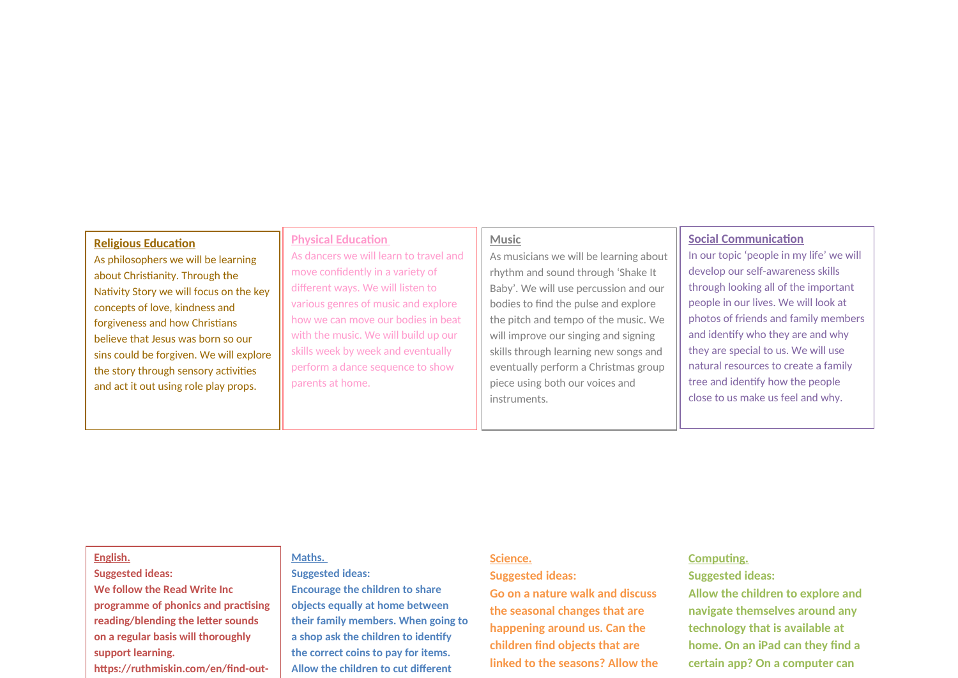#### **Religious Education**

As philosophers we will be learning about Christianity. Through the Nativity Story we will focus on the key concepts of love, kindness and forgiveness and how Christians believe that Jesus was born so our sins could be forgiven. We will explore the story through sensory activities and act it out using role play props.

## As dancers we will learn to travel and move confidently in a variety of different ways. We will listen to various genres of music and explore how we can move our bodies in beat with the music. We will build up our skills week by week and eventually perform a dance sequence to show parents at home.

**Physical Education** 

#### **Music**

As musicians we will be learning about rhythm and sound through 'Shake It Baby'. We will use percussion and our bodies to find the pulse and explore the pitch and tempo of the music. We will improve our singing and signing skills through learning new songs and eventually perform a Christmas group piece using both our voices and instruments.

#### **Social Communication**

In our topic 'people in my life' we will develop our self-awareness skills through looking all of the important people in our lives. We will look at photos of friends and family members and identify who they are and why they are special to us. We will use natural resources to create a family tree and identify how the people close to us make us feel and why.

#### **English.**

## **Suggested ideas:**

**We follow the Read Write Inc programme of phonics and practising reading/blending the letter sounds on a regular basis will thoroughly support learning. https://ruthmiskin.com/en/find-out-**

#### **Maths.**

**Suggested ideas:** 

**Encourage the children to share objects equally at home between their family members. When going to a shop ask the children to identify the correct coins to pay for items. Allow the children to cut different** 

#### **Science.**

#### **Suggested ideas:**

**Go on a nature walk and discuss the seasonal changes that are happening around us. Can the children find objects that are linked to the seasons? Allow the** 

#### **Computing.**

#### **Suggested ideas:**

**Allow the children to explore and navigate themselves around any technology that is available at home. On an iPad can they find a certain app? On a computer can**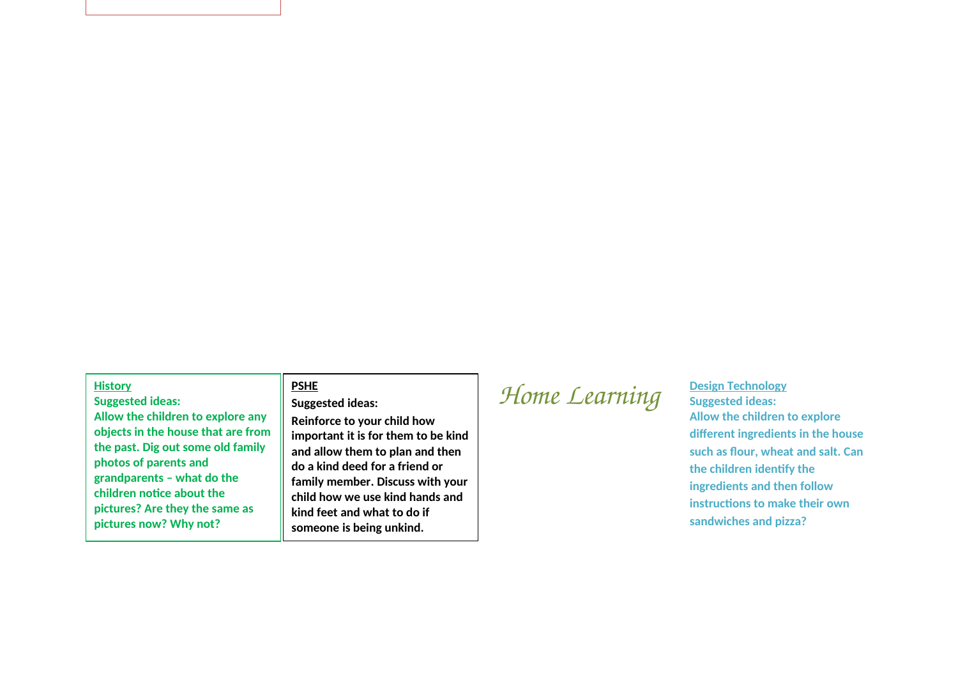#### **History**

**Suggested ideas: Allow the children to explore any objects in the house that are from the past. Dig out some old family photos of parents and grandparents – what do the children notice about the pictures? Are they the same as pictures now? Why not?** 

#### **PSHE**

#### **Suggested ideas:**

**Reinforce to your child how important it is for them to be kind and allow them to plan and then do a kind deed for a friend or family member. Discuss with your child how we use kind hands and kind feet and what to do if someone is being unkind.**

# *Home Learning <u>Design Technology</u> Suggested ideas:*

## **Suggested ideas: Allow the children to explore different ingredients in the house such as flour, wheat and salt. Can the children identify the ingredients and then follow instructions to make their own sandwiches and pizza?**